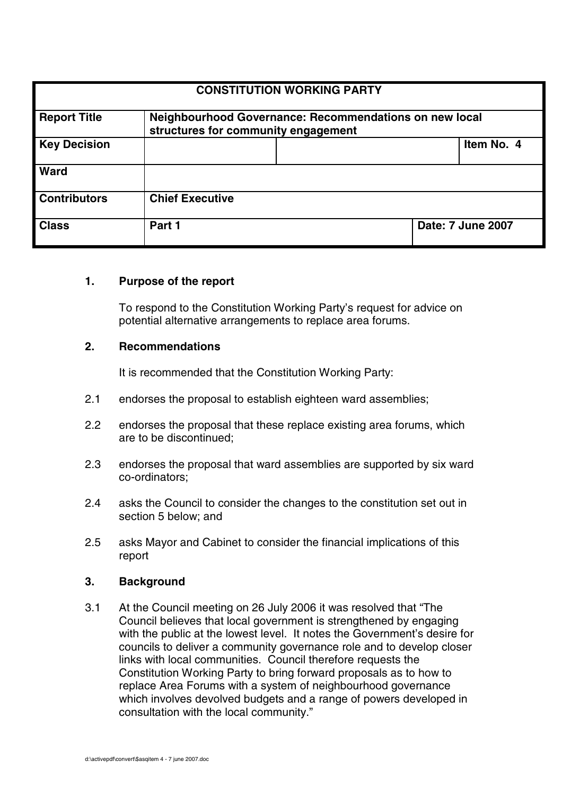| <b>CONSTITUTION WORKING PARTY</b> |                                                                                               |  |                          |            |  |
|-----------------------------------|-----------------------------------------------------------------------------------------------|--|--------------------------|------------|--|
| <b>Report Title</b>               | Neighbourhood Governance: Recommendations on new local<br>structures for community engagement |  |                          |            |  |
| <b>Key Decision</b>               |                                                                                               |  |                          | Item No. 4 |  |
| <b>Ward</b>                       |                                                                                               |  |                          |            |  |
| <b>Contributors</b>               | <b>Chief Executive</b>                                                                        |  |                          |            |  |
| <b>Class</b>                      | Part 1                                                                                        |  | <b>Date: 7 June 2007</b> |            |  |

#### **1. Purpose of the report**

To respond to the Constitution Working Party's request for advice on potential alternative arrangements to replace area forums.

#### **2. Recommendations**

It is recommended that the Constitution Working Party:

- 2.1 endorses the proposal to establish eighteen ward assemblies;
- 2.2 endorses the proposal that these replace existing area forums, which are to be discontinued;
- 2.3 endorses the proposal that ward assemblies are supported by six ward co-ordinators;
- 2.4 asks the Council to consider the changes to the constitution set out in section 5 below; and
- 2.5 asks Mayor and Cabinet to consider the financial implications of this report

#### **3. Background**

3.1 At the Council meeting on 26 July 2006 it was resolved that "The Council believes that local government is strengthened by engaging with the public at the lowest level. It notes the Government's desire for councils to deliver a community governance role and to develop closer links with local communities. Council therefore requests the Constitution Working Party to bring forward proposals as to how to replace Area Forums with a system of neighbourhood governance which involves devolved budgets and a range of powers developed in consultation with the local community."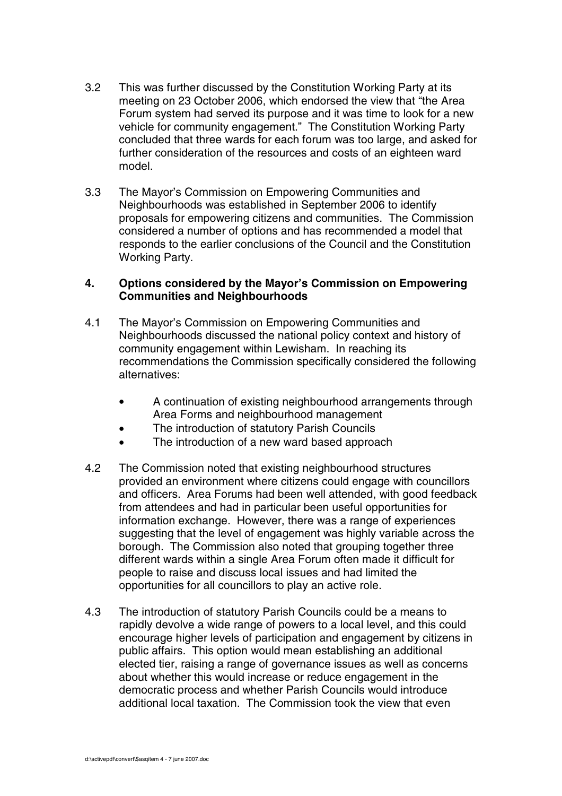- 3.2 This was further discussed by the Constitution Working Party at its meeting on 23 October 2006, which endorsed the view that "the Area Forum system had served its purpose and it was time to look for a new vehicle for community engagement." The Constitution Working Party concluded that three wards for each forum was too large, and asked for further consideration of the resources and costs of an eighteen ward model.
- 3.3 The Mayor's Commission on Empowering Communities and Neighbourhoods was established in September 2006 to identify proposals for empowering citizens and communities. The Commission considered a number of options and has recommended a model that responds to the earlier conclusions of the Council and the Constitution Working Party.

#### **4. Options considered by the Mayor's Commission on Empowering Communities and Neighbourhoods**

- 4.1 The Mayor's Commission on Empowering Communities and Neighbourhoods discussed the national policy context and history of community engagement within Lewisham. In reaching its recommendations the Commission specifically considered the following alternatives:
	- A continuation of existing neighbourhood arrangements through Area Forms and neighbourhood management
	- The introduction of statutory Parish Councils
	- The introduction of a new ward based approach
- 4.2 The Commission noted that existing neighbourhood structures provided an environment where citizens could engage with councillors and officers. Area Forums had been well attended, with good feedback from attendees and had in particular been useful opportunities for information exchange. However, there was a range of experiences suggesting that the level of engagement was highly variable across the borough. The Commission also noted that grouping together three different wards within a single Area Forum often made it difficult for people to raise and discuss local issues and had limited the opportunities for all councillors to play an active role.
- 4.3 The introduction of statutory Parish Councils could be a means to rapidly devolve a wide range of powers to a local level, and this could encourage higher levels of participation and engagement by citizens in public affairs. This option would mean establishing an additional elected tier, raising a range of governance issues as well as concerns about whether this would increase or reduce engagement in the democratic process and whether Parish Councils would introduce additional local taxation. The Commission took the view that even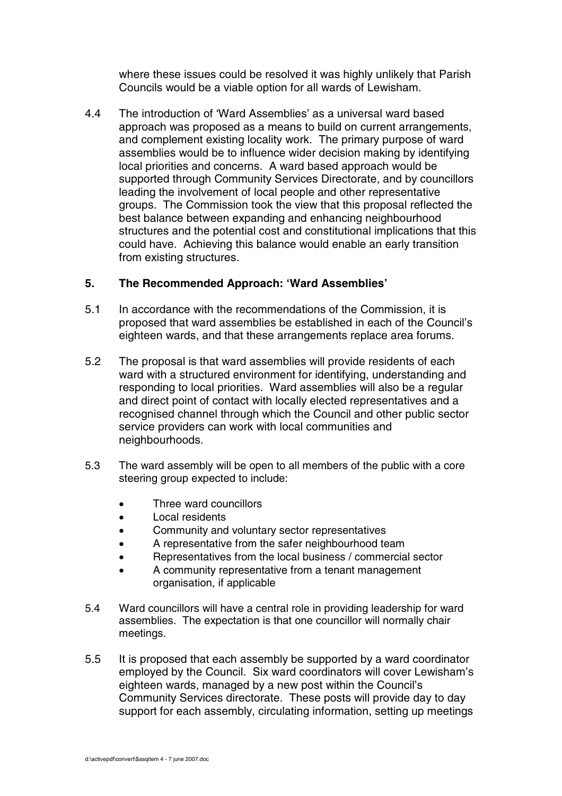where these issues could be resolved it was highly unlikely that Parish Councils would be a viable option for all wards of Lewisham.

4.4 The introduction of 'Ward Assemblies' as a universal ward based approach was proposed as a means to build on current arrangements, and complement existing locality work. The primary purpose of ward assemblies would be to influence wider decision making by identifying local priorities and concerns. A ward based approach would be supported through Community Services Directorate, and by councillors leading the involvement of local people and other representative groups. The Commission took the view that this proposal reflected the best balance between expanding and enhancing neighbourhood structures and the potential cost and constitutional implications that this could have. Achieving this balance would enable an early transition from existing structures.

#### **5. The Recommended Approach: 'Ward Assemblies'**

- 5.1 In accordance with the recommendations of the Commission, it is proposed that ward assemblies be established in each of the Council's eighteen wards, and that these arrangements replace area forums.
- 5.2 The proposal is that ward assemblies will provide residents of each ward with a structured environment for identifying, understanding and responding to local priorities. Ward assemblies will also be a regular and direct point of contact with locally elected representatives and a recognised channel through which the Council and other public sector service providers can work with local communities and neighbourhoods.
- 5.3 The ward assembly will be open to all members of the public with a core steering group expected to include:
	- Three ward councillors
	- Local residents
	- Community and voluntary sector representatives
	- A representative from the safer neighbourhood team
	- Representatives from the local business / commercial sector
	- A community representative from a tenant management organisation, if applicable
- 5.4 Ward councillors will have a central role in providing leadership for ward assemblies. The expectation is that one councillor will normally chair meetings.
- 5.5 It is proposed that each assembly be supported by a ward coordinator employed by the Council. Six ward coordinators will cover Lewisham's eighteen wards, managed by a new post within the Council's Community Services directorate. These posts will provide day to day support for each assembly, circulating information, setting up meetings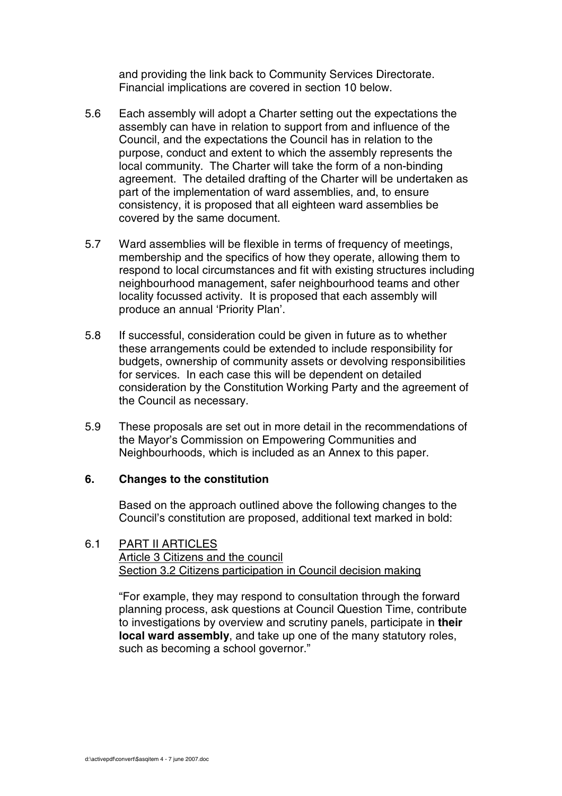and providing the link back to Community Services Directorate. Financial implications are covered in section 10 below.

- 5.6 Each assembly will adopt a Charter setting out the expectations the assembly can have in relation to support from and influence of the Council, and the expectations the Council has in relation to the purpose, conduct and extent to which the assembly represents the local community. The Charter will take the form of a non-binding agreement. The detailed drafting of the Charter will be undertaken as part of the implementation of ward assemblies, and, to ensure consistency, it is proposed that all eighteen ward assemblies be covered by the same document.
- 5.7 Ward assemblies will be flexible in terms of frequency of meetings, membership and the specifics of how they operate, allowing them to respond to local circumstances and fit with existing structures including neighbourhood management, safer neighbourhood teams and other locality focussed activity. It is proposed that each assembly will produce an annual 'Priority Plan'.
- 5.8 If successful, consideration could be given in future as to whether these arrangements could be extended to include responsibility for budgets, ownership of community assets or devolving responsibilities for services. In each case this will be dependent on detailed consideration by the Constitution Working Party and the agreement of the Council as necessary.
- 5.9 These proposals are set out in more detail in the recommendations of the Mayor's Commission on Empowering Communities and Neighbourhoods, which is included as an Annex to this paper.

## **6. Changes to the constitution**

Based on the approach outlined above the following changes to the Council's constitution are proposed, additional text marked in bold:

#### 6.1 PART II ARTICLES Article 3 Citizens and the council Section 3.2 Citizens participation in Council decision making

"For example, they may respond to consultation through the forward planning process, ask questions at Council Question Time, contribute to investigations by overview and scrutiny panels, participate in **their local ward assembly**, and take up one of the many statutory roles, such as becoming a school governor."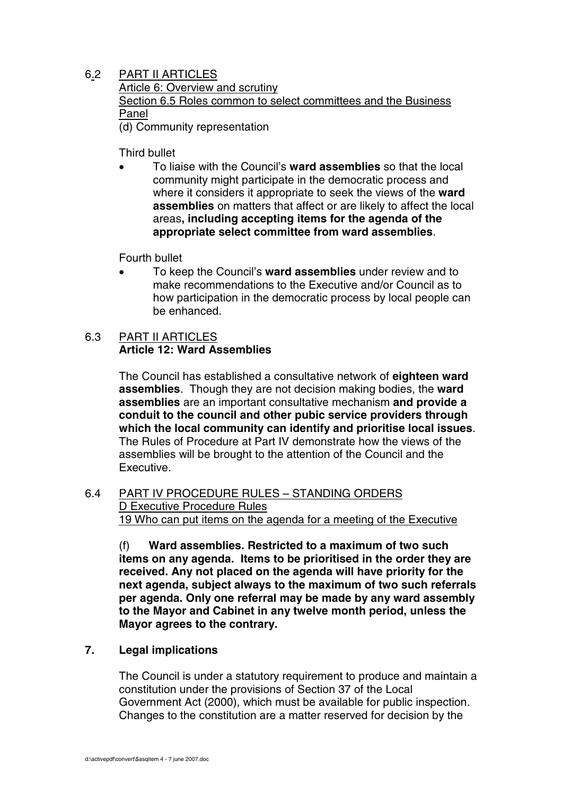## 6.2 PART II ARTICLES

Article 6: Overview and scrutiny Section 6.5 Roles common to select committees and the Business Panel (d) Community representation

Third bullet

• To liaise with the Council's **ward assemblies** so that the local community might participate in the democratic process and where it considers it appropriate to seek the views of the **ward assemblies** on matters that affect or are likely to affect the local areas**, including accepting items for the agenda of the appropriate select committee from ward assemblies**.

Fourth bullet

• To keep the Council's **ward assemblies** under review and to make recommendations to the Executive and/or Council as to how participation in the democratic process by local people can be enhanced.

## 6.3 PART II ARTICLES **Article 12: Ward Assemblies**

The Council has established a consultative network of **eighteen ward assemblies**. Though they are not decision making bodies, the **ward assemblies** are an important consultative mechanism **and provide a conduit to the council and other pubic service providers through which the local community can identify and prioritise local issues**. The Rules of Procedure at Part IV demonstrate how the views of the assemblies will be brought to the attention of the Council and the Executive.

## 6.4 PART IV PROCEDURE RULES – STANDING ORDERS D Executive Procedure Rules 19 Who can put items on the agenda for a meeting of the Executive

(f) **Ward assemblies. Restricted to a maximum of two such items on any agenda. Items to be prioritised in the order they are received. Any not placed on the agenda will have priority for the next agenda, subject always to the maximum of two such referrals per agenda. Only one referral may be made by any ward assembly to the Mayor and Cabinet in any twelve month period, unless the Mayor agrees to the contrary.**

# **7. Legal implications**

The Council is under a statutory requirement to produce and maintain a constitution under the provisions of Section 37 of the Local Government Act (2000), which must be available for public inspection. Changes to the constitution are a matter reserved for decision by the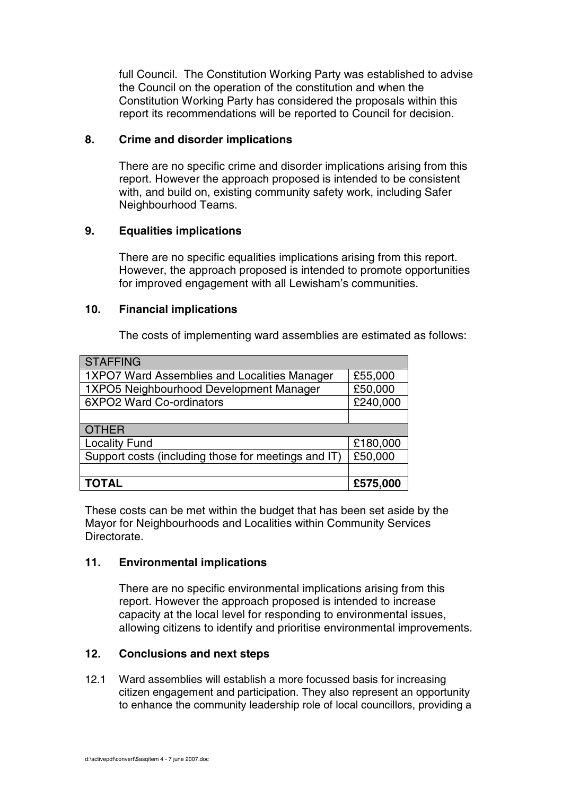full Council. The Constitution Working Party was established to advise the Council on the operation of the constitution and when the Constitution Working Party has considered the proposals within this report its recommendations will be reported to Council for decision.

#### **8. Crime and disorder implications**

There are no specific crime and disorder implications arising from this report. However the approach proposed is intended to be consistent with, and build on, existing community safety work, including Safer Neighbourhood Teams.

## **9. Equalities implications**

There are no specific equalities implications arising from this report. However, the approach proposed is intended to promote opportunities for improved engagement with all Lewisham's communities.

#### **10. Financial implications**

The costs of implementing ward assemblies are estimated as follows:

| <b>STAFFING</b>                                     |          |  |  |  |
|-----------------------------------------------------|----------|--|--|--|
| 1XPO7 Ward Assemblies and Localities Manager        | £55,000  |  |  |  |
| 1XPO5 Neighbourhood Development Manager             | £50,000  |  |  |  |
| 6XPO2 Ward Co-ordinators                            | £240,000 |  |  |  |
|                                                     |          |  |  |  |
| <b>OTHER</b>                                        |          |  |  |  |
|                                                     |          |  |  |  |
| <b>Locality Fund</b>                                | £180,000 |  |  |  |
| Support costs (including those for meetings and IT) | £50,000  |  |  |  |
|                                                     |          |  |  |  |

These costs can be met within the budget that has been set aside by the Mayor for Neighbourhoods and Localities within Community Services Directorate.

## **11. Environmental implications**

There are no specific environmental implications arising from this report. However the approach proposed is intended to increase capacity at the local level for responding to environmental issues, allowing citizens to identify and prioritise environmental improvements.

## **12. Conclusions and next steps**

12.1 Ward assemblies will establish a more focussed basis for increasing citizen engagement and participation. They also represent an opportunity to enhance the community leadership role of local councillors, providing a